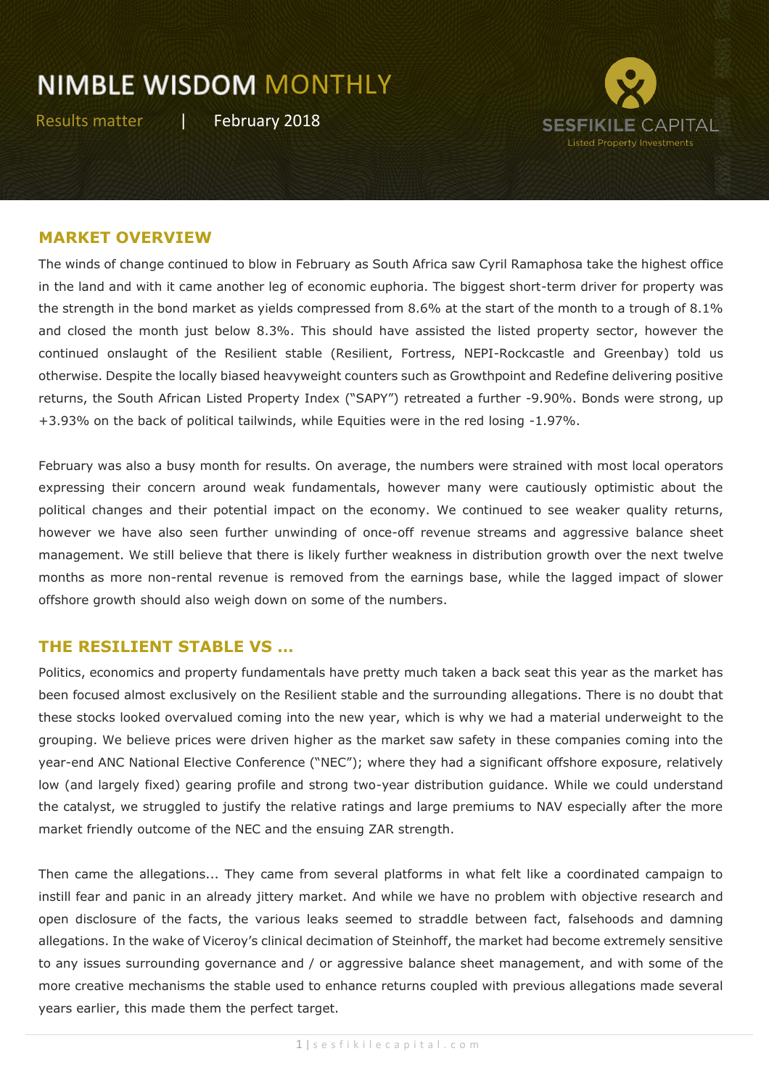Results matter | February 2018



#### **MARKET OVERVIEW**

The winds of change continued to blow in February as South Africa saw Cyril Ramaphosa take the highest office in the land and with it came another leg of economic euphoria. The biggest short-term driver for property was the strength in the bond market as yields compressed from 8.6% at the start of the month to a trough of 8.1% and closed the month just below 8.3%. This should have assisted the listed property sector, however the continued onslaught of the Resilient stable (Resilient, Fortress, NEPI-Rockcastle and Greenbay) told us otherwise. Despite the locally biased heavyweight counters such as Growthpoint and Redefine delivering positive returns, the South African Listed Property Index ("SAPY") retreated a further -9.90%. Bonds were strong, up +3.93% on the back of political tailwinds, while Equities were in the red losing -1.97%.

February was also a busy month for results. On average, the numbers were strained with most local operators expressing their concern around weak fundamentals, however many were cautiously optimistic about the political changes and their potential impact on the economy. We continued to see weaker quality returns, however we have also seen further unwinding of once-off revenue streams and aggressive balance sheet management. We still believe that there is likely further weakness in distribution growth over the next twelve months as more non-rental revenue is removed from the earnings base, while the lagged impact of slower offshore growth should also weigh down on some of the numbers.

#### **THE RESILIENT STABLE VS …**

Politics, economics and property fundamentals have pretty much taken a back seat this year as the market has been focused almost exclusively on the Resilient stable and the surrounding allegations. There is no doubt that these stocks looked overvalued coming into the new year, which is why we had a material underweight to the grouping. We believe prices were driven higher as the market saw safety in these companies coming into the year-end ANC National Elective Conference ("NEC"); where they had a significant offshore exposure, relatively low (and largely fixed) gearing profile and strong two-year distribution guidance. While we could understand the catalyst, we struggled to justify the relative ratings and large premiums to NAV especially after the more market friendly outcome of the NEC and the ensuing ZAR strength.

Then came the allegations... They came from several platforms in what felt like a coordinated campaign to instill fear and panic in an already jittery market. And while we have no problem with objective research and open disclosure of the facts, the various leaks seemed to straddle between fact, falsehoods and damning allegations. In the wake of Viceroy's clinical decimation of Steinhoff, the market had become extremely sensitive to any issues surrounding governance and / or aggressive balance sheet management, and with some of the more creative mechanisms the stable used to enhance returns coupled with previous allegations made several years earlier, this made them the perfect target.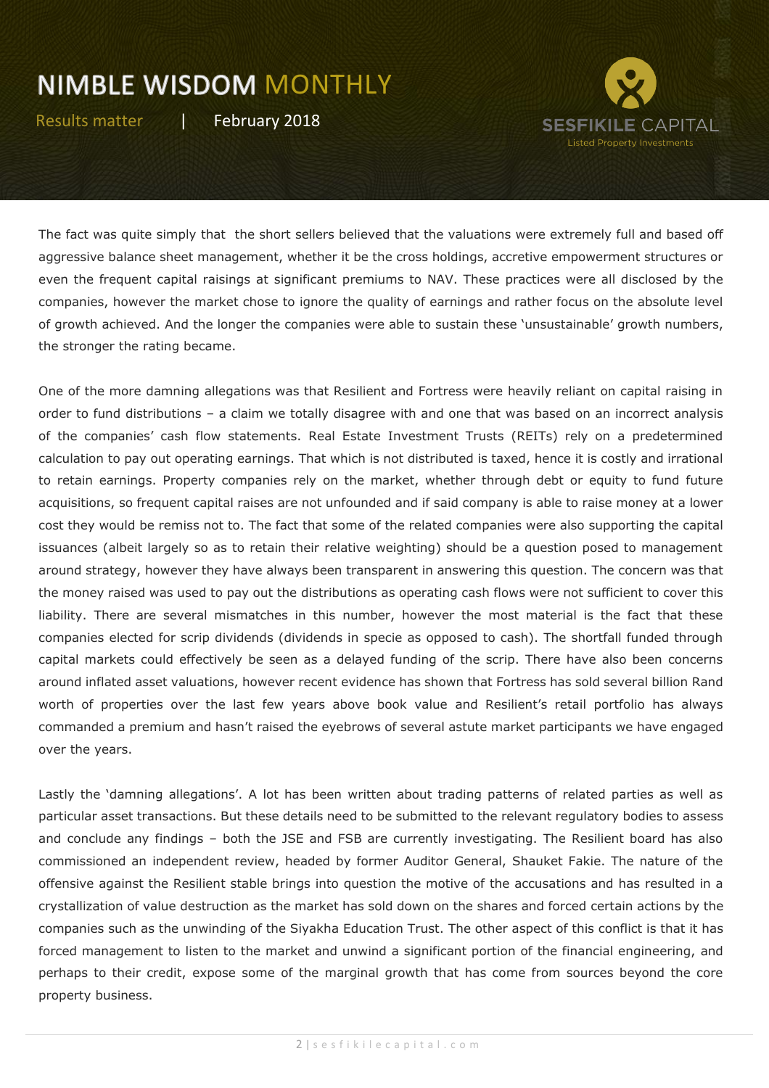Results matter | February 2018



The fact was quite simply that the short sellers believed that the valuations were extremely full and based off aggressive balance sheet management, whether it be the cross holdings, accretive empowerment structures or even the frequent capital raisings at significant premiums to NAV. These practices were all disclosed by the companies, however the market chose to ignore the quality of earnings and rather focus on the absolute level of growth achieved. And the longer the companies were able to sustain these 'unsustainable' growth numbers, the stronger the rating became.

One of the more damning allegations was that Resilient and Fortress were heavily reliant on capital raising in order to fund distributions – a claim we totally disagree with and one that was based on an incorrect analysis of the companies' cash flow statements. Real Estate Investment Trusts (REITs) rely on a predetermined calculation to pay out operating earnings. That which is not distributed is taxed, hence it is costly and irrational to retain earnings. Property companies rely on the market, whether through debt or equity to fund future acquisitions, so frequent capital raises are not unfounded and if said company is able to raise money at a lower cost they would be remiss not to. The fact that some of the related companies were also supporting the capital issuances (albeit largely so as to retain their relative weighting) should be a question posed to management around strategy, however they have always been transparent in answering this question. The concern was that the money raised was used to pay out the distributions as operating cash flows were not sufficient to cover this liability. There are several mismatches in this number, however the most material is the fact that these companies elected for scrip dividends (dividends in specie as opposed to cash). The shortfall funded through capital markets could effectively be seen as a delayed funding of the scrip. There have also been concerns around inflated asset valuations, however recent evidence has shown that Fortress has sold several billion Rand worth of properties over the last few years above book value and Resilient's retail portfolio has always commanded a premium and hasn't raised the eyebrows of several astute market participants we have engaged over the years.

Lastly the 'damning allegations'. A lot has been written about trading patterns of related parties as well as particular asset transactions. But these details need to be submitted to the relevant regulatory bodies to assess and conclude any findings – both the JSE and FSB are currently investigating. The Resilient board has also commissioned an independent review, headed by former Auditor General, Shauket Fakie. The nature of the offensive against the Resilient stable brings into question the motive of the accusations and has resulted in a crystallization of value destruction as the market has sold down on the shares and forced certain actions by the companies such as the unwinding of the Siyakha Education Trust. The other aspect of this conflict is that it has forced management to listen to the market and unwind a significant portion of the financial engineering, and perhaps to their credit, expose some of the marginal growth that has come from sources beyond the core property business.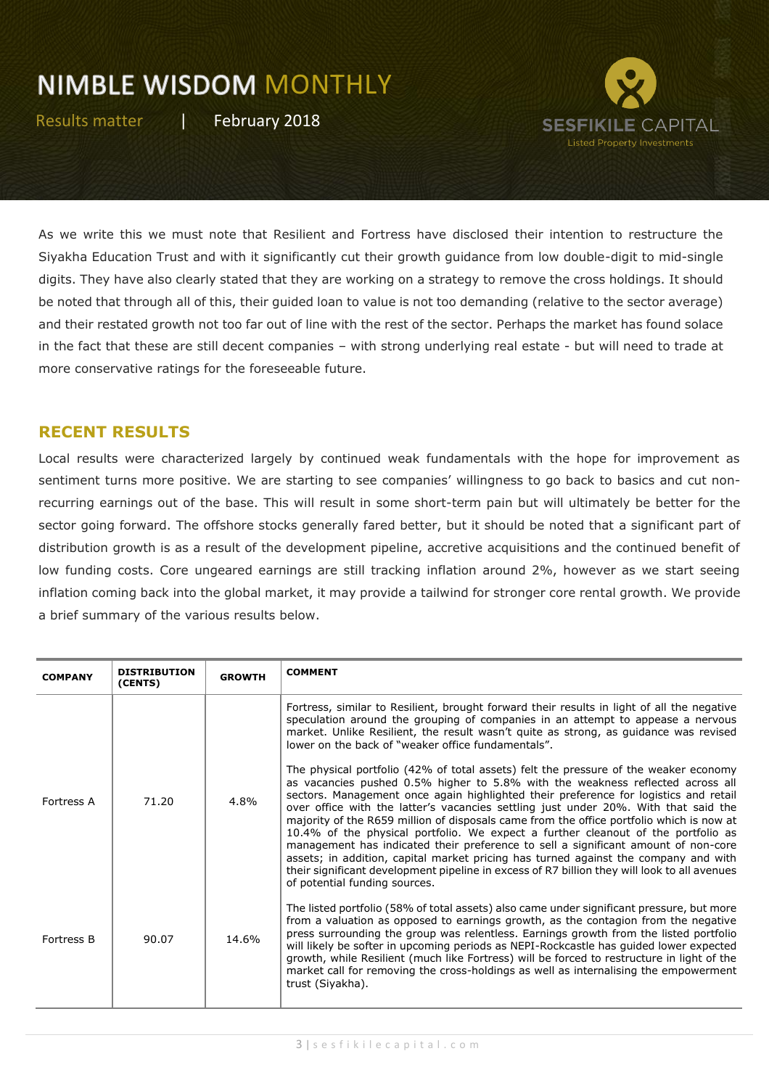Results matter | February 2018



As we write this we must note that Resilient and Fortress have disclosed their intention to restructure the Siyakha Education Trust and with it significantly cut their growth guidance from low double-digit to mid-single digits. They have also clearly stated that they are working on a strategy to remove the cross holdings. It should be noted that through all of this, their guided loan to value is not too demanding (relative to the sector average) and their restated growth not too far out of line with the rest of the sector. Perhaps the market has found solace in the fact that these are still decent companies – with strong underlying real estate - but will need to trade at more conservative ratings for the foreseeable future.

#### **RECENT RESULTS**

Local results were characterized largely by continued weak fundamentals with the hope for improvement as sentiment turns more positive. We are starting to see companies' willingness to go back to basics and cut nonrecurring earnings out of the base. This will result in some short-term pain but will ultimately be better for the sector going forward. The offshore stocks generally fared better, but it should be noted that a significant part of distribution growth is as a result of the development pipeline, accretive acquisitions and the continued benefit of low funding costs. Core ungeared earnings are still tracking inflation around 2%, however as we start seeing inflation coming back into the global market, it may provide a tailwind for stronger core rental growth. We provide a brief summary of the various results below.

| <b>COMPANY</b>    | <b>DISTRIBUTION</b><br>(CENTS) | <b>GROWTH</b> | <b>COMMENT</b>                                                                                                                                                                                                                                                                                                                                                                                                                                                                                                                                                                                                                                                                                                                                                                                                                                       |
|-------------------|--------------------------------|---------------|------------------------------------------------------------------------------------------------------------------------------------------------------------------------------------------------------------------------------------------------------------------------------------------------------------------------------------------------------------------------------------------------------------------------------------------------------------------------------------------------------------------------------------------------------------------------------------------------------------------------------------------------------------------------------------------------------------------------------------------------------------------------------------------------------------------------------------------------------|
|                   |                                |               | Fortress, similar to Resilient, brought forward their results in light of all the negative<br>speculation around the grouping of companies in an attempt to appease a nervous<br>market. Unlike Resilient, the result wasn't quite as strong, as guidance was revised<br>lower on the back of "weaker office fundamentals".                                                                                                                                                                                                                                                                                                                                                                                                                                                                                                                          |
| Fortress A        | 71.20                          | 4.8%          | The physical portfolio (42% of total assets) felt the pressure of the weaker economy<br>as vacancies pushed 0.5% higher to 5.8% with the weakness reflected across all<br>sectors. Management once again highlighted their preference for logistics and retail<br>over office with the latter's vacancies settling just under 20%. With that said the<br>majority of the R659 million of disposals came from the office portfolio which is now at<br>10.4% of the physical portfolio. We expect a further cleanout of the portfolio as<br>management has indicated their preference to sell a significant amount of non-core<br>assets; in addition, capital market pricing has turned against the company and with<br>their significant development pipeline in excess of R7 billion they will look to all avenues<br>of potential funding sources. |
| <b>Fortress B</b> | 90.07                          | 14.6%         | The listed portfolio (58% of total assets) also came under significant pressure, but more<br>from a valuation as opposed to earnings growth, as the contagion from the negative<br>press surrounding the group was relentless. Earnings growth from the listed portfolio<br>will likely be softer in upcoming periods as NEPI-Rockcastle has guided lower expected<br>growth, while Resilient (much like Fortress) will be forced to restructure in light of the<br>market call for removing the cross-holdings as well as internalising the empowerment<br>trust (Siyakha).                                                                                                                                                                                                                                                                         |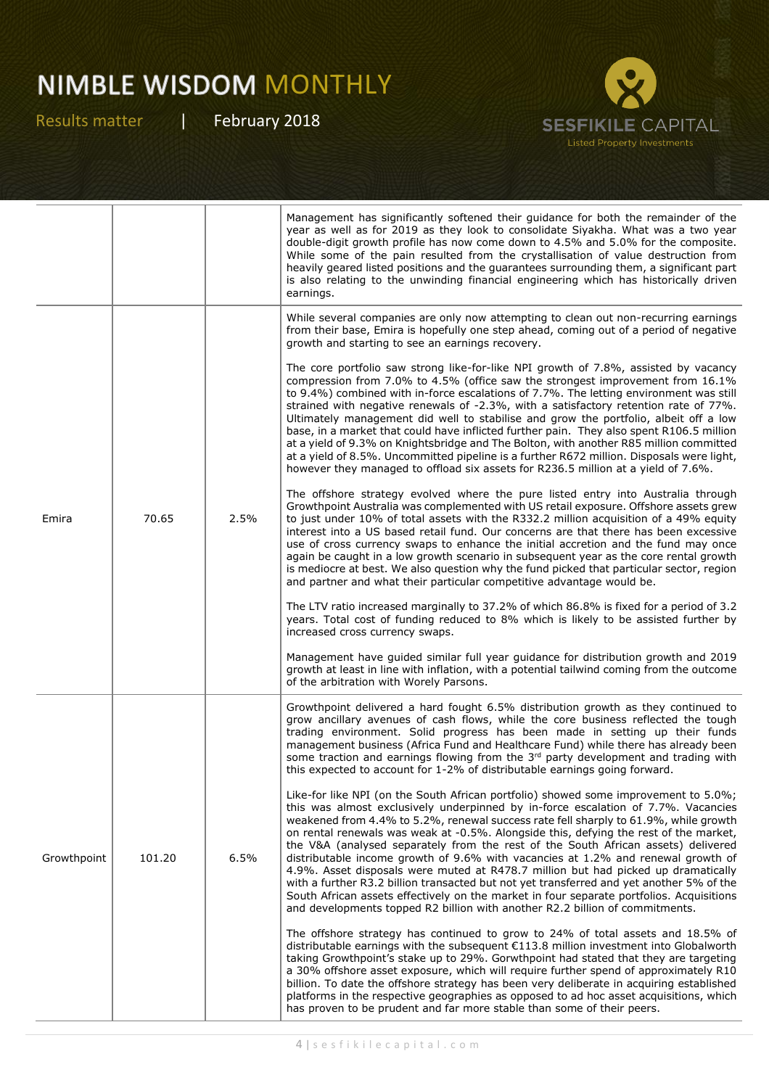

|             |        |      | Management has significantly softened their guidance for both the remainder of the<br>year as well as for 2019 as they look to consolidate Siyakha. What was a two year<br>double-digit growth profile has now come down to 4.5% and 5.0% for the composite.<br>While some of the pain resulted from the crystallisation of value destruction from<br>heavily geared listed positions and the guarantees surrounding them, a significant part<br>is also relating to the unwinding financial engineering which has historically driven<br>earnings.                                                                                                                                                                                                                                                                                                                                             |
|-------------|--------|------|-------------------------------------------------------------------------------------------------------------------------------------------------------------------------------------------------------------------------------------------------------------------------------------------------------------------------------------------------------------------------------------------------------------------------------------------------------------------------------------------------------------------------------------------------------------------------------------------------------------------------------------------------------------------------------------------------------------------------------------------------------------------------------------------------------------------------------------------------------------------------------------------------|
|             |        |      | While several companies are only now attempting to clean out non-recurring earnings<br>from their base, Emira is hopefully one step ahead, coming out of a period of negative<br>growth and starting to see an earnings recovery.                                                                                                                                                                                                                                                                                                                                                                                                                                                                                                                                                                                                                                                               |
| Emira       | 70.65  | 2.5% | The core portfolio saw strong like-for-like NPI growth of 7.8%, assisted by vacancy<br>compression from 7.0% to 4.5% (office saw the strongest improvement from 16.1%)<br>to 9.4%) combined with in-force escalations of 7.7%. The letting environment was still<br>strained with negative renewals of -2.3%, with a satisfactory retention rate of 77%.<br>Ultimately management did well to stabilise and grow the portfolio, albeit off a low<br>base, in a market that could have inflicted further pain. They also spent R106.5 million<br>at a yield of 9.3% on Knightsbridge and The Bolton, with another R85 million committed<br>at a yield of 8.5%. Uncommitted pipeline is a further R672 million. Disposals were light,<br>however they managed to offload six assets for R236.5 million at a yield of 7.6%.                                                                        |
|             |        |      | The offshore strategy evolved where the pure listed entry into Australia through<br>Growthpoint Australia was complemented with US retail exposure. Offshore assets grew<br>to just under 10% of total assets with the R332.2 million acquisition of a 49% equity<br>interest into a US based retail fund. Our concerns are that there has been excessive<br>use of cross currency swaps to enhance the initial accretion and the fund may once<br>again be caught in a low growth scenario in subsequent year as the core rental growth<br>is mediocre at best. We also question why the fund picked that particular sector, region<br>and partner and what their particular competitive advantage would be.                                                                                                                                                                                   |
|             |        |      | The LTV ratio increased marginally to 37.2% of which 86.8% is fixed for a period of 3.2<br>years. Total cost of funding reduced to 8% which is likely to be assisted further by<br>increased cross currency swaps.                                                                                                                                                                                                                                                                                                                                                                                                                                                                                                                                                                                                                                                                              |
|             |        |      | Management have guided similar full year guidance for distribution growth and 2019<br>growth at least in line with inflation, with a potential tailwind coming from the outcome<br>of the arbitration with Worely Parsons.                                                                                                                                                                                                                                                                                                                                                                                                                                                                                                                                                                                                                                                                      |
| Growthpoint | 101.20 | 6.5% | Growthpoint delivered a hard fought 6.5% distribution growth as they continued to<br>grow ancillary avenues of cash flows, while the core business reflected the tough<br>trading environment. Solid progress has been made in setting up their funds<br>management business (Africa Fund and Healthcare Fund) while there has already been<br>some traction and earnings flowing from the $3rd$ party development and trading with<br>this expected to account for 1-2% of distributable earnings going forward.                                                                                                                                                                                                                                                                                                                                                                               |
|             |        |      | Like-for like NPI (on the South African portfolio) showed some improvement to 5.0%;<br>this was almost exclusively underpinned by in-force escalation of 7.7%. Vacancies<br>weakened from 4.4% to 5.2%, renewal success rate fell sharply to 61.9%, while growth<br>on rental renewals was weak at -0.5%. Alongside this, defying the rest of the market,<br>the V&A (analysed separately from the rest of the South African assets) delivered<br>distributable income growth of 9.6% with vacancies at 1.2% and renewal growth of<br>4.9%. Asset disposals were muted at R478.7 million but had picked up dramatically<br>with a further R3.2 billion transacted but not yet transferred and yet another 5% of the<br>South African assets effectively on the market in four separate portfolios. Acquisitions<br>and developments topped R2 billion with another R2.2 billion of commitments. |
|             |        |      | The offshore strategy has continued to grow to 24% of total assets and 18.5% of<br>distributable earnings with the subsequent €113.8 million investment into Globalworth<br>taking Growthpoint's stake up to 29%. Gorwthpoint had stated that they are targeting<br>a 30% offshore asset exposure, which will require further spend of approximately R10<br>billion. To date the offshore strategy has been very deliberate in acquiring established<br>platforms in the respective geographies as opposed to ad hoc asset acquisitions, which<br>has proven to be prudent and far more stable than some of their peers.                                                                                                                                                                                                                                                                        |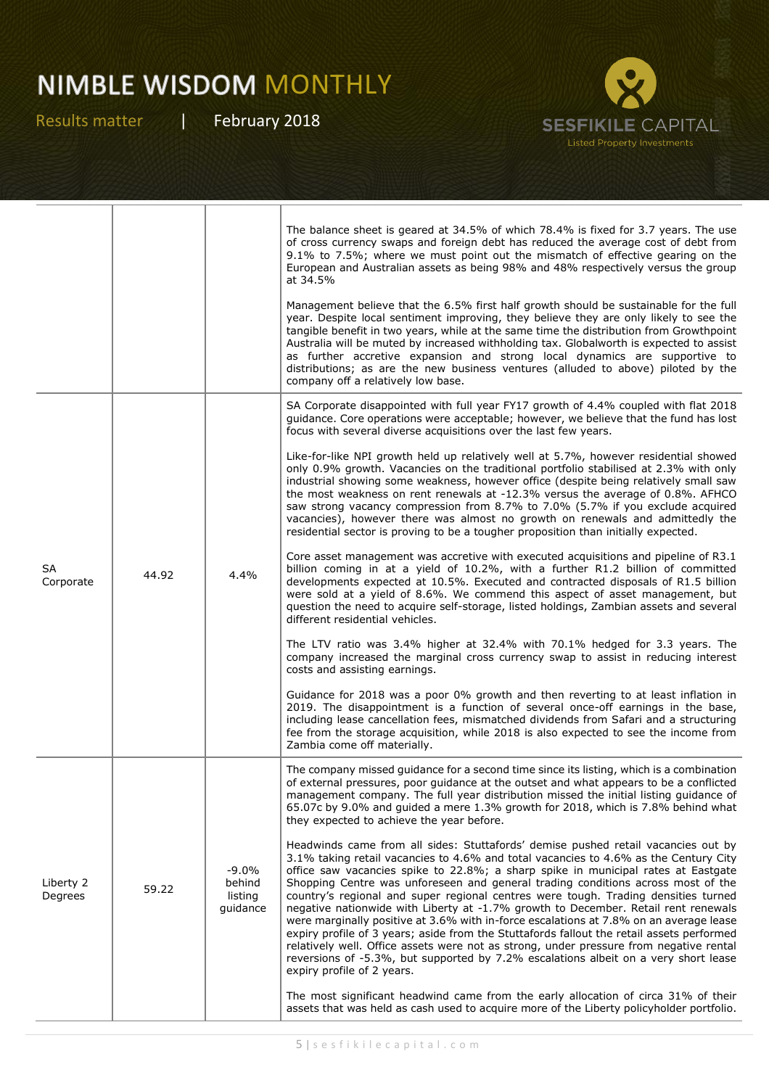

|                      |       |                                          | The balance sheet is geared at 34.5% of which 78.4% is fixed for 3.7 years. The use<br>of cross currency swaps and foreign debt has reduced the average cost of debt from<br>9.1% to 7.5%; where we must point out the mismatch of effective gearing on the<br>European and Australian assets as being 98% and 48% respectively versus the group<br>at 34.5%                                                                                                                                                                                                                                                                                                                                                                                                                                                                                                                                                                         |
|----------------------|-------|------------------------------------------|--------------------------------------------------------------------------------------------------------------------------------------------------------------------------------------------------------------------------------------------------------------------------------------------------------------------------------------------------------------------------------------------------------------------------------------------------------------------------------------------------------------------------------------------------------------------------------------------------------------------------------------------------------------------------------------------------------------------------------------------------------------------------------------------------------------------------------------------------------------------------------------------------------------------------------------|
|                      |       |                                          | Management believe that the 6.5% first half growth should be sustainable for the full<br>year. Despite local sentiment improving, they believe they are only likely to see the<br>tangible benefit in two years, while at the same time the distribution from Growthpoint<br>Australia will be muted by increased withholding tax. Globalworth is expected to assist<br>as further accretive expansion and strong local dynamics are supportive to<br>distributions; as are the new business ventures (alluded to above) piloted by the<br>company off a relatively low base.                                                                                                                                                                                                                                                                                                                                                        |
| SA<br>Corporate      | 44.92 | 4.4%                                     | SA Corporate disappointed with full year FY17 growth of 4.4% coupled with flat 2018<br>guidance. Core operations were acceptable; however, we believe that the fund has lost<br>focus with several diverse acquisitions over the last few years.                                                                                                                                                                                                                                                                                                                                                                                                                                                                                                                                                                                                                                                                                     |
|                      |       |                                          | Like-for-like NPI growth held up relatively well at 5.7%, however residential showed<br>only 0.9% growth. Vacancies on the traditional portfolio stabilised at 2.3% with only<br>industrial showing some weakness, however office (despite being relatively small saw<br>the most weakness on rent renewals at -12.3% versus the average of 0.8%. AFHCO<br>saw strong vacancy compression from 8.7% to 7.0% (5.7% if you exclude acquired<br>vacancies), however there was almost no growth on renewals and admittedly the<br>residential sector is proving to be a tougher proposition than initially expected.                                                                                                                                                                                                                                                                                                                     |
|                      |       |                                          | Core asset management was accretive with executed acquisitions and pipeline of R3.1<br>billion coming in at a yield of 10.2%, with a further R1.2 billion of committed<br>developments expected at 10.5%. Executed and contracted disposals of R1.5 billion<br>were sold at a yield of 8.6%. We commend this aspect of asset management, but<br>question the need to acquire self-storage, listed holdings, Zambian assets and several<br>different residential vehicles.                                                                                                                                                                                                                                                                                                                                                                                                                                                            |
|                      |       |                                          | The LTV ratio was 3.4% higher at 32.4% with 70.1% hedged for 3.3 years. The<br>company increased the marginal cross currency swap to assist in reducing interest<br>costs and assisting earnings.                                                                                                                                                                                                                                                                                                                                                                                                                                                                                                                                                                                                                                                                                                                                    |
|                      |       |                                          | Guidance for 2018 was a poor 0% growth and then reverting to at least inflation in<br>2019. The disappointment is a function of several once-off earnings in the base,<br>including lease cancellation fees, mismatched dividends from Safari and a structuring<br>fee from the storage acquisition, while 2018 is also expected to see the income from<br>Zambia come off materially.                                                                                                                                                                                                                                                                                                                                                                                                                                                                                                                                               |
| Liberty 2<br>Degrees | 59.22 | $-9.0%$<br>behind<br>listing<br>guidance | The company missed guidance for a second time since its listing, which is a combination<br>of external pressures, poor guidance at the outset and what appears to be a conflicted<br>management company. The full year distribution missed the initial listing guidance of<br>65.07c by 9.0% and guided a mere 1.3% growth for 2018, which is 7.8% behind what<br>they expected to achieve the year before.                                                                                                                                                                                                                                                                                                                                                                                                                                                                                                                          |
|                      |       |                                          | Headwinds came from all sides: Stuttafords' demise pushed retail vacancies out by<br>3.1% taking retail vacancies to 4.6% and total vacancies to 4.6% as the Century City<br>office saw vacancies spike to 22.8%; a sharp spike in municipal rates at Eastgate<br>Shopping Centre was unforeseen and general trading conditions across most of the<br>country's regional and super regional centres were tough. Trading densities turned<br>negative nationwide with Liberty at -1.7% growth to December. Retail rent renewals<br>were marginally positive at 3.6% with in-force escalations at 7.8% on an average lease<br>expiry profile of 3 years; aside from the Stuttafords fallout the retail assets performed<br>relatively well. Office assets were not as strong, under pressure from negative rental<br>reversions of -5.3%, but supported by 7.2% escalations albeit on a very short lease<br>expiry profile of 2 years. |
|                      |       |                                          | The most significant headwind came from the early allocation of circa 31% of their<br>assets that was held as cash used to acquire more of the Liberty policyholder portfolio.                                                                                                                                                                                                                                                                                                                                                                                                                                                                                                                                                                                                                                                                                                                                                       |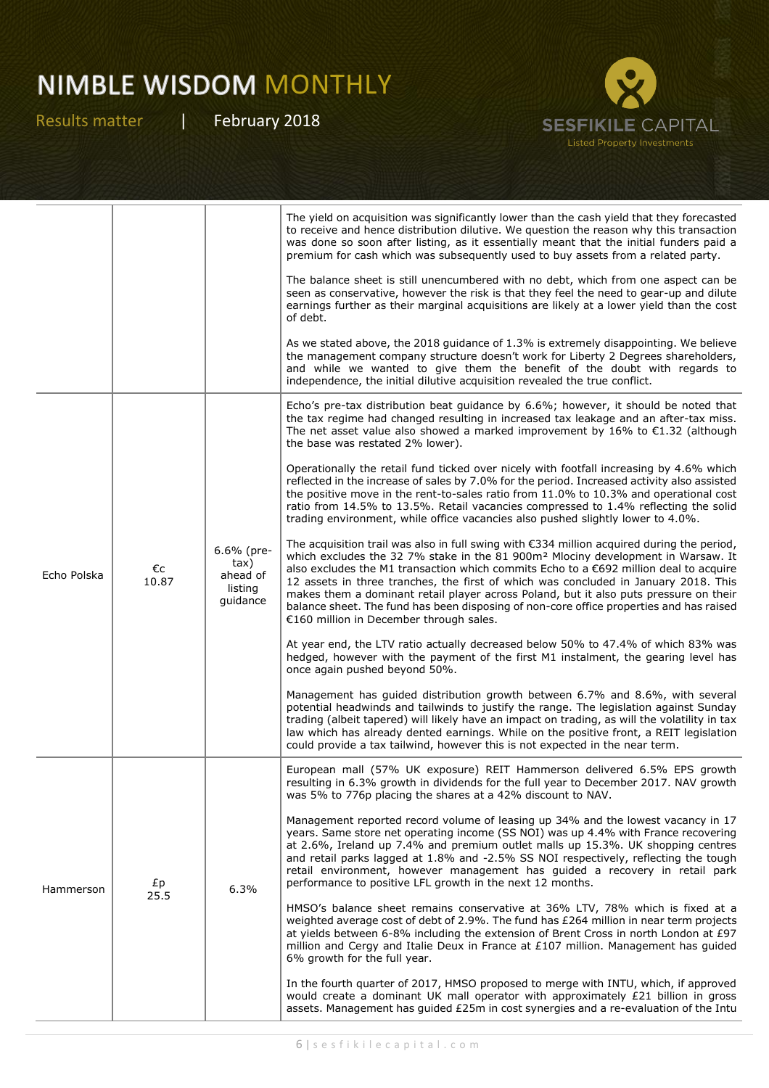

|             |             |                                                       | The yield on acquisition was significantly lower than the cash yield that they forecasted<br>to receive and hence distribution dilutive. We question the reason why this transaction<br>was done so soon after listing, as it essentially meant that the initial funders paid a<br>premium for cash which was subsequently used to buy assets from a related party.                                                                                                                                                                                                                                                           |
|-------------|-------------|-------------------------------------------------------|-------------------------------------------------------------------------------------------------------------------------------------------------------------------------------------------------------------------------------------------------------------------------------------------------------------------------------------------------------------------------------------------------------------------------------------------------------------------------------------------------------------------------------------------------------------------------------------------------------------------------------|
|             |             |                                                       | The balance sheet is still unencumbered with no debt, which from one aspect can be<br>seen as conservative, however the risk is that they feel the need to gear-up and dilute<br>earnings further as their marginal acquisitions are likely at a lower yield than the cost<br>of debt.                                                                                                                                                                                                                                                                                                                                        |
|             |             |                                                       | As we stated above, the 2018 guidance of 1.3% is extremely disappointing. We believe<br>the management company structure doesn't work for Liberty 2 Degrees shareholders,<br>and while we wanted to give them the benefit of the doubt with regards to<br>independence, the initial dilutive acquisition revealed the true conflict.                                                                                                                                                                                                                                                                                          |
| Echo Polska | €c<br>10.87 | 6.6% (pre-<br>tax)<br>ahead of<br>listing<br>guidance | Echo's pre-tax distribution beat guidance by 6.6%; however, it should be noted that<br>the tax regime had changed resulting in increased tax leakage and an after-tax miss.<br>The net asset value also showed a marked improvement by 16% to $\epsilon$ 1.32 (although<br>the base was restated 2% lower).                                                                                                                                                                                                                                                                                                                   |
|             |             |                                                       | Operationally the retail fund ticked over nicely with footfall increasing by 4.6% which<br>reflected in the increase of sales by 7.0% for the period. Increased activity also assisted<br>the positive move in the rent-to-sales ratio from 11.0% to 10.3% and operational cost<br>ratio from 14.5% to 13.5%. Retail vacancies compressed to 1.4% reflecting the solid<br>trading environment, while office vacancies also pushed slightly lower to 4.0%.                                                                                                                                                                     |
|             |             |                                                       | The acquisition trail was also in full swing with $\epsilon$ 334 million acquired during the period,<br>which excludes the 32 7% stake in the 81 900m <sup>2</sup> Mlociny development in Warsaw. It<br>also excludes the M1 transaction which commits Echo to a $\epsilon$ 692 million deal to acquire<br>12 assets in three tranches, the first of which was concluded in January 2018. This<br>makes them a dominant retail player across Poland, but it also puts pressure on their<br>balance sheet. The fund has been disposing of non-core office properties and has raised<br>€160 million in December through sales. |
|             |             |                                                       | At year end, the LTV ratio actually decreased below 50% to 47.4% of which 83% was<br>hedged, however with the payment of the first M1 instalment, the gearing level has<br>once again pushed beyond 50%.                                                                                                                                                                                                                                                                                                                                                                                                                      |
|             |             |                                                       | Management has guided distribution growth between 6.7% and 8.6%, with several<br>potential headwinds and tailwinds to justify the range. The legislation against Sunday<br>trading (albeit tapered) will likely have an impact on trading, as will the volatility in tax<br>law which has already dented earnings. While on the positive front, a REIT legislation<br>could provide a tax tailwind, however this is not expected in the near term.                                                                                                                                                                            |
| Hammerson   | £p<br>25.5  | 6.3%                                                  | European mall (57% UK exposure) REIT Hammerson delivered 6.5% EPS growth<br>resulting in 6.3% growth in dividends for the full year to December 2017. NAV growth<br>was 5% to 776p placing the shares at a 42% discount to NAV.                                                                                                                                                                                                                                                                                                                                                                                               |
|             |             |                                                       | Management reported record volume of leasing up 34% and the lowest vacancy in 17<br>years. Same store net operating income (SS NOI) was up 4.4% with France recovering<br>at 2.6%, Ireland up 7.4% and premium outlet malls up 15.3%. UK shopping centres<br>and retail parks lagged at 1.8% and -2.5% SS NOI respectively, reflecting the tough<br>retail environment, however management has guided a recovery in retail park<br>performance to positive LFL growth in the next 12 months.                                                                                                                                  |
|             |             |                                                       | HMSO's balance sheet remains conservative at 36% LTV, 78% which is fixed at a<br>weighted average cost of debt of 2.9%. The fund has £264 million in near term projects<br>at yields between 6-8% including the extension of Brent Cross in north London at £97<br>million and Cergy and Italie Deux in France at £107 million. Management has guided<br>6% growth for the full year.                                                                                                                                                                                                                                         |
|             |             |                                                       | In the fourth quarter of 2017, HMSO proposed to merge with INTU, which, if approved<br>would create a dominant UK mall operator with approximately £21 billion in gross<br>assets. Management has guided £25m in cost synergies and a re-evaluation of the Intu                                                                                                                                                                                                                                                                                                                                                               |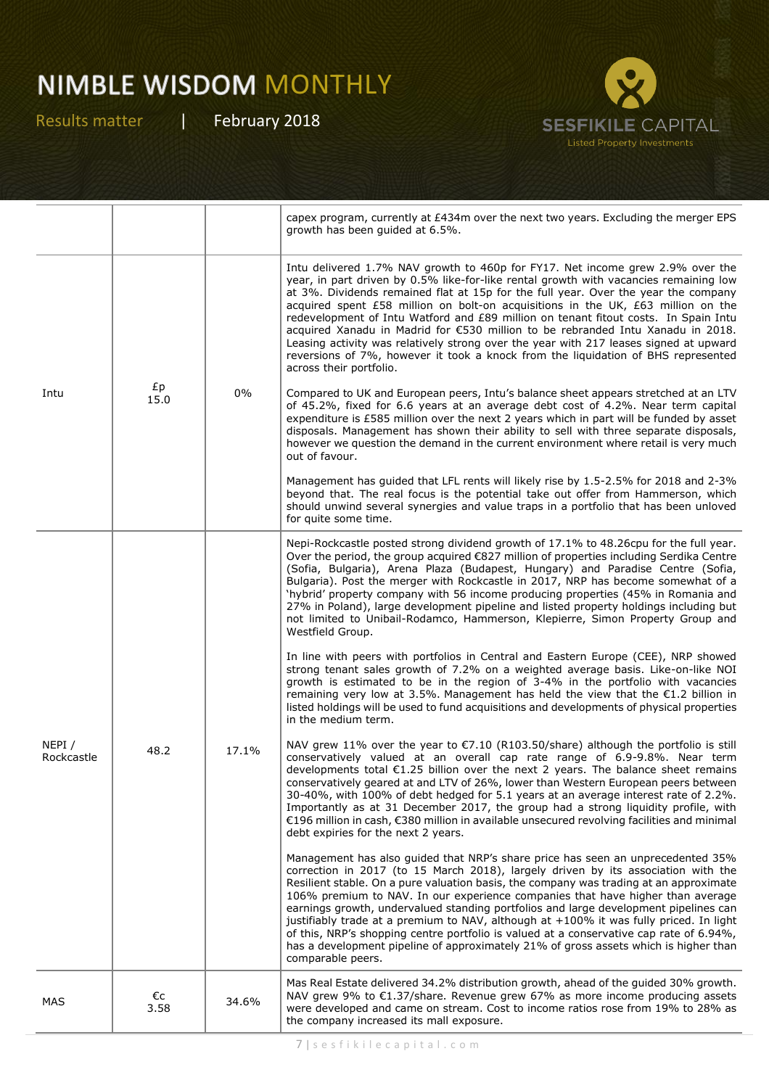

|                     |            |       | capex program, currently at £434m over the next two years. Excluding the merger EPS<br>growth has been guided at 6.5%.                                                                                                                                                                                                                                                                                                                                                                                                                                                                                                                                                                                                                     |
|---------------------|------------|-------|--------------------------------------------------------------------------------------------------------------------------------------------------------------------------------------------------------------------------------------------------------------------------------------------------------------------------------------------------------------------------------------------------------------------------------------------------------------------------------------------------------------------------------------------------------------------------------------------------------------------------------------------------------------------------------------------------------------------------------------------|
| Intu                | £p<br>15.0 | 0%    | Intu delivered 1.7% NAV growth to 460p for FY17. Net income grew 2.9% over the<br>year, in part driven by 0.5% like-for-like rental growth with vacancies remaining low<br>at 3%. Dividends remained flat at 15p for the full year. Over the year the company<br>acquired spent £58 million on bolt-on acquisitions in the UK, £63 million on the<br>redevelopment of Intu Watford and £89 million on tenant fitout costs. In Spain Intu<br>acquired Xanadu in Madrid for €530 million to be rebranded Intu Xanadu in 2018.<br>Leasing activity was relatively strong over the year with 217 leases signed at upward<br>reversions of 7%, however it took a knock from the liquidation of BHS represented<br>across their portfolio.       |
|                     |            |       | Compared to UK and European peers, Intu's balance sheet appears stretched at an LTV<br>of 45.2%, fixed for 6.6 years at an average debt cost of 4.2%. Near term capital<br>expenditure is £585 million over the next 2 years which in part will be funded by asset<br>disposals. Management has shown their ability to sell with three separate disposals,<br>however we question the demand in the current environment where retail is very much<br>out of favour.                                                                                                                                                                                                                                                                        |
|                     |            |       | Management has guided that LFL rents will likely rise by 1.5-2.5% for 2018 and 2-3%<br>beyond that. The real focus is the potential take out offer from Hammerson, which<br>should unwind several synergies and value traps in a portfolio that has been unloved<br>for quite some time.                                                                                                                                                                                                                                                                                                                                                                                                                                                   |
| NEPI/<br>Rockcastle | 48.2       | 17.1% | Nepi-Rockcastle posted strong dividend growth of 17.1% to 48.26cpu for the full year.<br>Over the period, the group acquired €827 million of properties including Serdika Centre<br>(Sofia, Bulgaria), Arena Plaza (Budapest, Hungary) and Paradise Centre (Sofia,<br>Bulgaria). Post the merger with Rockcastle in 2017, NRP has become somewhat of a<br>'hybrid' property company with 56 income producing properties (45% in Romania and<br>27% in Poland), large development pipeline and listed property holdings including but<br>not limited to Unibail-Rodamco, Hammerson, Klepierre, Simon Property Group and<br>Westfield Group.                                                                                                 |
|                     |            |       | In line with peers with portfolios in Central and Eastern Europe (CEE), NRP showed<br>strong tenant sales growth of 7.2% on a weighted average basis. Like-on-like NOI<br>growth is estimated to be in the region of 3-4% in the portfolio with vacancies<br>remaining very low at 3.5%. Management has held the view that the $\epsilon$ 1.2 billion in<br>listed holdings will be used to fund acquisitions and developments of physical properties<br>in the medium term.                                                                                                                                                                                                                                                               |
|                     |            |       | NAV grew 11% over the year to €7.10 (R103.50/share) although the portfolio is still<br>conservatively valued at an overall cap rate range of 6.9-9.8%. Near term<br>developments total €1.25 billion over the next 2 years. The balance sheet remains<br>conservatively geared at and LTV of 26%, lower than Western European peers between<br>30-40%, with 100% of debt hedged for 5.1 years at an average interest rate of 2.2%.<br>Importantly as at 31 December 2017, the group had a strong liquidity profile, with<br>€196 million in cash, €380 million in available unsecured revolving facilities and minimal<br>debt expiries for the next 2 years.                                                                              |
|                     |            |       | Management has also guided that NRP's share price has seen an unprecedented 35%<br>correction in 2017 (to 15 March 2018), largely driven by its association with the<br>Resilient stable. On a pure valuation basis, the company was trading at an approximate<br>106% premium to NAV. In our experience companies that have higher than average<br>earnings growth, undervalued standing portfolios and large development pipelines can<br>justifiably trade at a premium to NAV, although at +100% it was fully priced. In light<br>of this, NRP's shopping centre portfolio is valued at a conservative cap rate of 6.94%,<br>has a development pipeline of approximately 21% of gross assets which is higher than<br>comparable peers. |
| MAS                 | €c<br>3.58 | 34.6% | Mas Real Estate delivered 34.2% distribution growth, ahead of the guided 30% growth.<br>NAV grew 9% to €1.37/share. Revenue grew 67% as more income producing assets<br>were developed and came on stream. Cost to income ratios rose from 19% to 28% as<br>the company increased its mall exposure.                                                                                                                                                                                                                                                                                                                                                                                                                                       |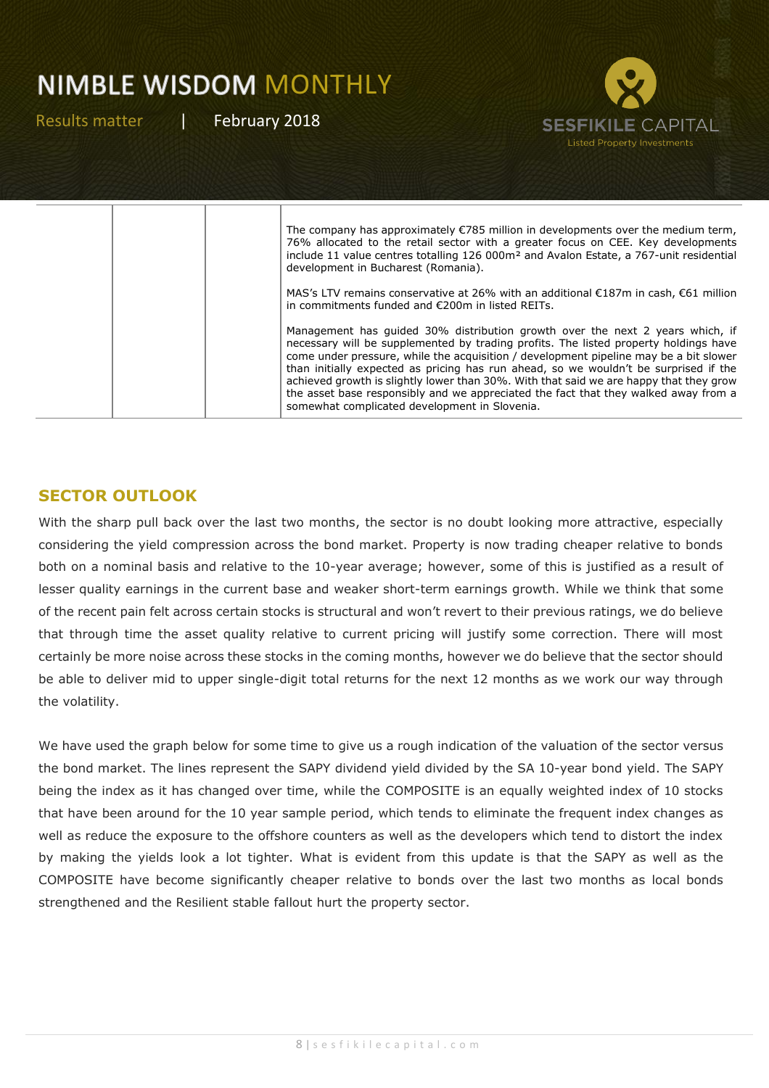Results matter | February 2018



#### **SECTOR OUTLOOK**

With the sharp pull back over the last two months, the sector is no doubt looking more attractive, especially considering the yield compression across the bond market. Property is now trading cheaper relative to bonds both on a nominal basis and relative to the 10-year average; however, some of this is justified as a result of lesser quality earnings in the current base and weaker short-term earnings growth. While we think that some of the recent pain felt across certain stocks is structural and won't revert to their previous ratings, we do believe that through time the asset quality relative to current pricing will justify some correction. There will most certainly be more noise across these stocks in the coming months, however we do believe that the sector should be able to deliver mid to upper single-digit total returns for the next 12 months as we work our way through the volatility.

We have used the graph below for some time to give us a rough indication of the valuation of the sector versus the bond market. The lines represent the SAPY dividend yield divided by the SA 10-year bond yield. The SAPY being the index as it has changed over time, while the COMPOSITE is an equally weighted index of 10 stocks that have been around for the 10 year sample period, which tends to eliminate the frequent index changes as well as reduce the exposure to the offshore counters as well as the developers which tend to distort the index by making the yields look a lot tighter. What is evident from this update is that the SAPY as well as the COMPOSITE have become significantly cheaper relative to bonds over the last two months as local bonds strengthened and the Resilient stable fallout hurt the property sector.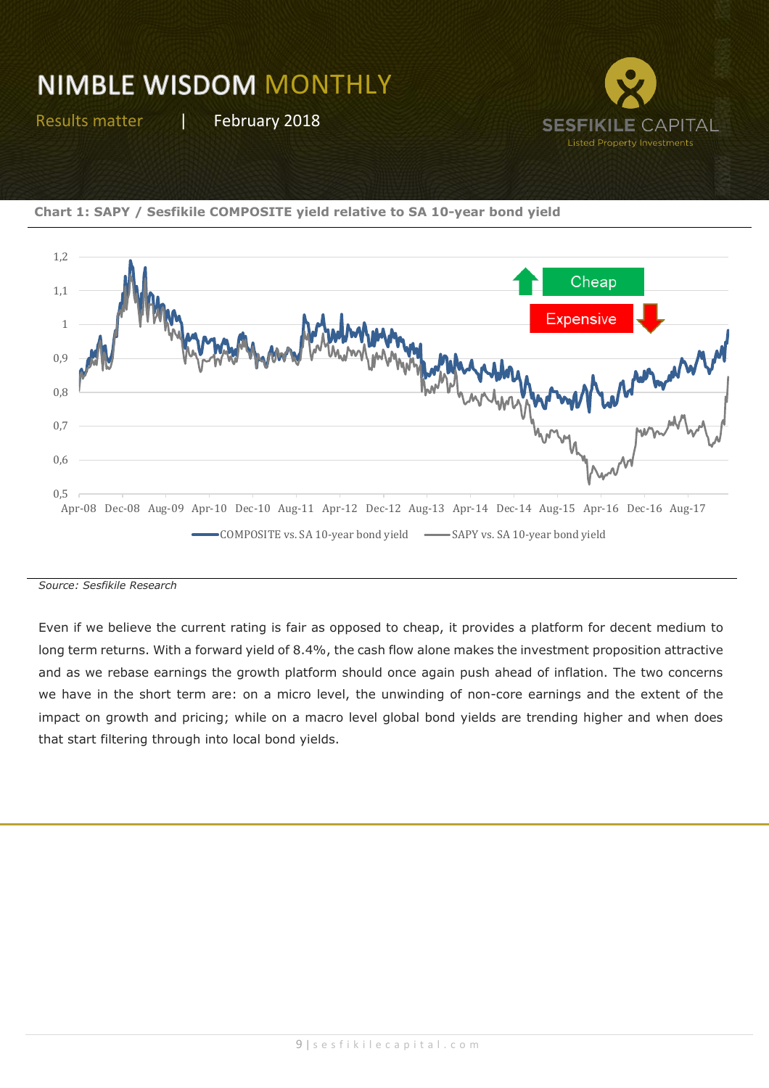Results matter | February 2018







*Source: Sesfikile Research*

Even if we believe the current rating is fair as opposed to cheap, it provides a platform for decent medium to long term returns. With a forward yield of 8.4%, the cash flow alone makes the investment proposition attractive and as we rebase earnings the growth platform should once again push ahead of inflation. The two concerns we have in the short term are: on a micro level, the unwinding of non-core earnings and the extent of the impact on growth and pricing; while on a macro level global bond yields are trending higher and when does that start filtering through into local bond yields.